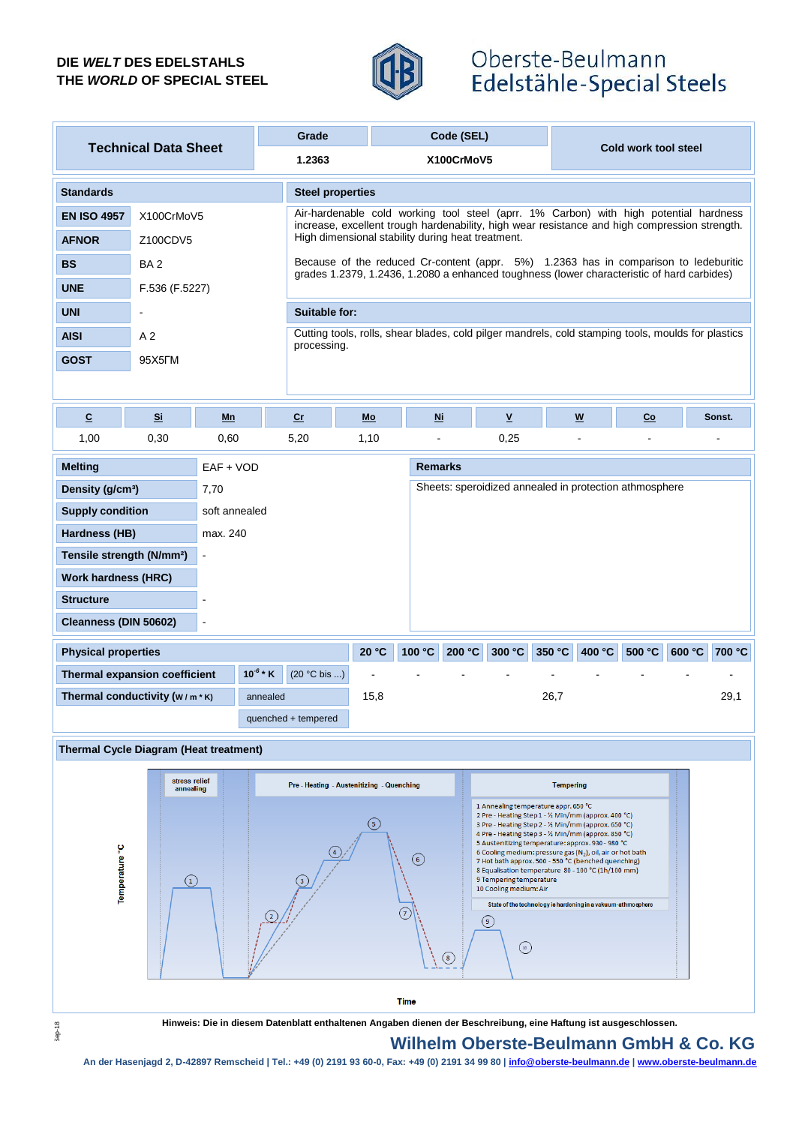### **DIE** *WELT* **DES EDELSTAHLS THE** *WORLD* **OF SPECIAL STEEL**



# Oberste-Beulmann Edelstähle-Special Steels

|                                                                                                           |                                           |                                                                |               | Grade<br>Code (SEL)                                                                                                                                                                |                  |    |  |                 |                      |   |    |  |        |
|-----------------------------------------------------------------------------------------------------------|-------------------------------------------|----------------------------------------------------------------|---------------|------------------------------------------------------------------------------------------------------------------------------------------------------------------------------------|------------------|----|--|-----------------|----------------------|---|----|--|--------|
| <b>Technical Data Sheet</b>                                                                               |                                           |                                                                | 1.2363        |                                                                                                                                                                                    | X100CrMoV5       |    |  |                 | Cold work tool steel |   |    |  |        |
|                                                                                                           |                                           |                                                                |               |                                                                                                                                                                                    |                  |    |  |                 |                      |   |    |  |        |
|                                                                                                           | <b>Standards</b>                          |                                                                |               | <b>Steel properties</b><br>Air-hardenable cold working tool steel (aprr. 1% Carbon) with high potential hardness                                                                   |                  |    |  |                 |                      |   |    |  |        |
| <b>EN ISO 4957</b>                                                                                        | X100CrMoV5                                |                                                                |               | increase, excellent trough hardenability, high wear resistance and high compression strength.                                                                                      |                  |    |  |                 |                      |   |    |  |        |
| <b>AFNOR</b>                                                                                              | Z100CDV5                                  |                                                                |               | High dimensional stability during heat treatment.                                                                                                                                  |                  |    |  |                 |                      |   |    |  |        |
| <b>BS</b>                                                                                                 | BA <sub>2</sub>                           |                                                                |               | Because of the reduced Cr-content (appr. 5%) 1.2363 has in comparison to ledeburitic<br>grades 1.2379, 1.2436, 1.2080 a enhanced toughness (lower characteristic of hard carbides) |                  |    |  |                 |                      |   |    |  |        |
| <b>UNE</b>                                                                                                | F.536 (F.5227)                            |                                                                |               |                                                                                                                                                                                    |                  |    |  |                 |                      |   |    |  |        |
| <b>UNI</b>                                                                                                |                                           |                                                                |               | <b>Suitable for:</b>                                                                                                                                                               |                  |    |  |                 |                      |   |    |  |        |
| <b>AISI</b>                                                                                               | A <sub>2</sub>                            |                                                                |               | Cutting tools, rolls, shear blades, cold pilger mandrels, cold stamping tools, moulds for plastics                                                                                 |                  |    |  |                 |                      |   |    |  |        |
| <b>GOST</b>                                                                                               | 95X5 <sub>TM</sub>                        |                                                                |               | processing.                                                                                                                                                                        |                  |    |  |                 |                      |   |    |  |        |
|                                                                                                           |                                           |                                                                |               |                                                                                                                                                                                    |                  |    |  |                 |                      |   |    |  |        |
|                                                                                                           |                                           |                                                                |               |                                                                                                                                                                                    |                  |    |  |                 |                      |   |    |  |        |
| $\overline{c}$                                                                                            | Si                                        | Mn                                                             |               | cr                                                                                                                                                                                 | Mo               | Ni |  | $\underline{V}$ |                      | W | Co |  | Sonst. |
| 1.00                                                                                                      | 0,30                                      | 0,60                                                           |               | 5,20                                                                                                                                                                               | 1,10             |    |  | 0,25            |                      |   |    |  |        |
| <b>Melting</b><br>$EAF + VOD$                                                                             |                                           |                                                                |               |                                                                                                                                                                                    | <b>Remarks</b>   |    |  |                 |                      |   |    |  |        |
| Density (g/cm <sup>3</sup> )                                                                              |                                           | Sheets: speroidized annealed in protection athmosphere<br>7,70 |               |                                                                                                                                                                                    |                  |    |  |                 |                      |   |    |  |        |
| <b>Supply condition</b>                                                                                   |                                           |                                                                | soft annealed |                                                                                                                                                                                    |                  |    |  |                 |                      |   |    |  |        |
| Hardness (HB)                                                                                             |                                           |                                                                | max. 240      |                                                                                                                                                                                    |                  |    |  |                 |                      |   |    |  |        |
| Tensile strength (N/mm <sup>2</sup> )                                                                     |                                           | $\overline{a}$                                                 |               |                                                                                                                                                                                    |                  |    |  |                 |                      |   |    |  |        |
| <b>Work hardness (HRC)</b>                                                                                |                                           |                                                                |               |                                                                                                                                                                                    |                  |    |  |                 |                      |   |    |  |        |
| <b>Structure</b>                                                                                          |                                           |                                                                |               |                                                                                                                                                                                    |                  |    |  |                 |                      |   |    |  |        |
| Cleanness (DIN 50602)<br>$\overline{a}$                                                                   |                                           |                                                                |               |                                                                                                                                                                                    |                  |    |  |                 |                      |   |    |  |        |
| 200 °C<br>20 °C<br>100 °C<br>300 °C<br>350 °C<br>400 °C<br>500 °C<br>600 °C<br><b>Physical properties</b> |                                           |                                                                |               |                                                                                                                                                                                    |                  |    |  |                 | 700 °C               |   |    |  |        |
| $10^{-6}$ * K<br><b>Thermal expansion coefficient</b>                                                     |                                           |                                                                | (20 °C bis )  |                                                                                                                                                                                    |                  |    |  |                 |                      |   |    |  |        |
| Thermal conductivity (W/m*K)<br>annealed                                                                  |                                           |                                                                |               |                                                                                                                                                                                    | 26,7             |    |  |                 | 29,1                 |   |    |  |        |
| quenched + tempered                                                                                       |                                           |                                                                |               |                                                                                                                                                                                    |                  |    |  |                 |                      |   |    |  |        |
| <b>Thermal Cycle Diagram (Heat treatment)</b>                                                             |                                           |                                                                |               |                                                                                                                                                                                    |                  |    |  |                 |                      |   |    |  |        |
|                                                                                                           |                                           |                                                                |               |                                                                                                                                                                                    |                  |    |  |                 |                      |   |    |  |        |
|                                                                                                           | Pre - Heating - Austenitizing - Quenching |                                                                |               |                                                                                                                                                                                    | <b>Tempering</b> |    |  |                 |                      |   |    |  |        |



Sep-18

**Hinweis: Die in diesem Datenblatt enthaltenen Angaben dienen der Beschreibung, eine Haftung ist ausgeschlossen.**

## **Wilhelm Oberste-Beulmann GmbH & Co. KG**

**An der Hasenjagd 2, D-42897 Remscheid | Tel.: +49 (0) 2191 93 60-0, Fax: +49 (0) 2191 34 99 80 | info@oberste-beulmann.de | www.oberste-beulmann.de**